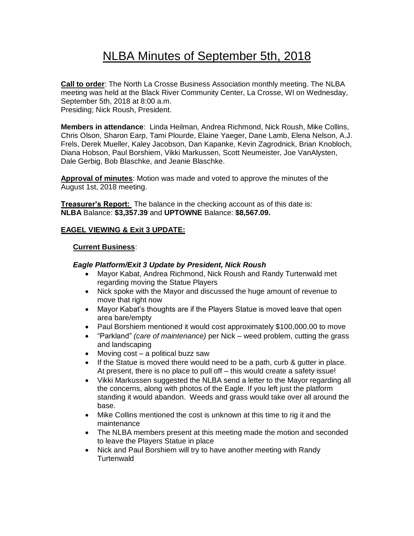# NLBA Minutes of September 5th, 2018

**Call to order**: The North La Crosse Business Association monthly meeting. The NLBA meeting was held at the Black River Community Center, La Crosse, WI on Wednesday, September 5th, 2018 at 8:00 a.m. Presiding; Nick Roush, President.

**Members in attendance**: Linda Heilman, Andrea Richmond, Nick Roush, Mike Collins, Chris Olson, Sharon Earp, Tami Plourde, Elaine Yaeger, Dane Lamb, Elena Nelson, A.J. Frels, Derek Mueller, Kaley Jacobson, Dan Kapanke, Kevin Zagrodnick, Brian Knobloch, Diana Hobson, Paul Borshiem, Vikki Markussen, Scott Neumeister, Joe VanAlysten, Dale Gerbig, Bob Blaschke, and Jeanie Blaschke.

**Approval of minutes**: Motion was made and voted to approve the minutes of the August 1st, 2018 meeting.

**Treasurer's Report:** The balance in the checking account as of this date is: **NLBA** Balance: **\$3,357.39** and **UPTOWNE** Balance: **\$8,567.09.**

#### **EAGEL VIEWING & Exit 3 UPDATE:**

#### **Current Business**:

#### *Eagle Platform/Exit 3 Update by President, Nick Roush*

- Mayor Kabat, Andrea Richmond, Nick Roush and Randy Turtenwald met regarding moving the Statue Players
- Nick spoke with the Mayor and discussed the huge amount of revenue to move that right now
- Mayor Kabat's thoughts are if the Players Statue is moved leave that open area bare/empty
- Paul Borshiem mentioned it would cost approximately \$100,000.00 to move
- "Parkland" *(care of maintenance)* per Nick weed problem, cutting the grass and landscaping
- Moving cost a political buzz saw
- If the Statue is moved there would need to be a path, curb & gutter in place. At present, there is no place to pull off – this would create a safety issue!
- Vikki Markussen suggested the NLBA send a letter to the Mayor regarding all the concerns, along with photos of the Eagle. If you left just the platform standing it would abandon. Weeds and grass would take over all around the base.
- Mike Collins mentioned the cost is unknown at this time to rig it and the maintenance
- The NLBA members present at this meeting made the motion and seconded to leave the Players Statue in place
- Nick and Paul Borshiem will try to have another meeting with Randy **Turtenwald**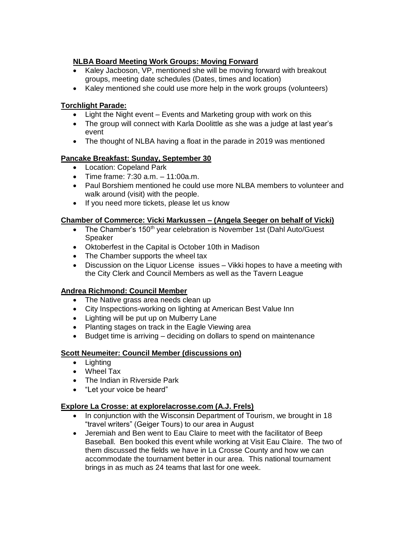# **NLBA Board Meeting Work Groups: Moving Forward**

- Kaley Jacboson, VP, mentioned she will be moving forward with breakout groups, meeting date schedules (Dates, times and location)
- Kaley mentioned she could use more help in the work groups (volunteers)

# **Torchlight Parade:**

- Light the Night event Events and Marketing group with work on this
- The group will connect with Karla Doolittle as she was a judge at last year's event
- The thought of NLBA having a float in the parade in 2019 was mentioned

# **Pancake Breakfast: Sunday, September 30**

- Location: Copeland Park
- Time frame: 7:30 a.m. 11:00a.m.
- Paul Borshiem mentioned he could use more NLBA members to volunteer and walk around (visit) with the people.
- If you need more tickets, please let us know

# **Chamber of Commerce: Vicki Markussen – (Angela Seeger on behalf of Vicki)**

- The Chamber's 150<sup>th</sup> year celebration is November 1st (Dahl Auto/Guest Speaker
- Oktoberfest in the Capital is October 10th in Madison
- The Chamber supports the wheel tax
- Discussion on the Liquor License issues Vikki hopes to have a meeting with the City Clerk and Council Members as well as the Tavern League

# **Andrea Richmond: Council Member**

- The Native grass area needs clean up
- City Inspections-working on lighting at American Best Value Inn
- Lighting will be put up on Mulberry Lane
- Planting stages on track in the Eagle Viewing area
- Budget time is arriving deciding on dollars to spend on maintenance

# **Scott Neumeiter: Council Member (discussions on)**

- Lighting
- Wheel Tax
- The Indian in Riverside Park
- "Let your voice be heard"

# **Explore La Crosse: at explorelacrosse.com (A.J. Frels)**

- In conjunction with the Wisconsin Department of Tourism, we brought in 18 "travel writers" (Geiger Tours) to our area in August
- Jeremiah and Ben went to Eau Claire to meet with the facilitator of Beep Baseball. Ben booked this event while working at Visit Eau Claire. The two of them discussed the fields we have in La Crosse County and how we can accommodate the tournament better in our area. This national tournament brings in as much as 24 teams that last for one week.